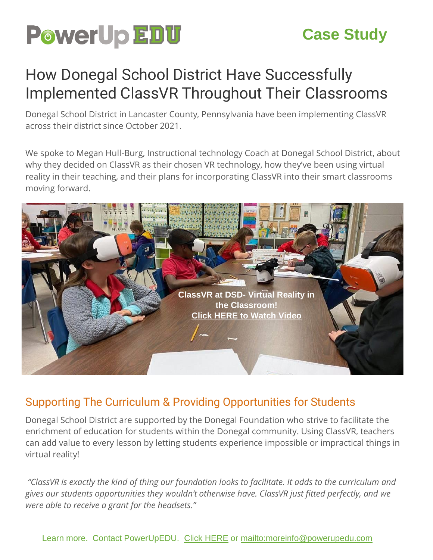

# **Case Study**

# How Donegal School District Have Successfully Implemented ClassVR Throughout Their Classrooms

Donegal School District in Lancaster County, Pennsylvania have been implementing ClassVR across their district since October 2021.

We spoke to Megan Hull-Burg, Instructional technology Coach at Donegal School District, about why they decided on ClassVR as their chosen VR technology, how they've been using virtual reality in their teaching, and their plans for incorporating ClassVR into their smart classrooms moving forward.



#### Supporting The Curriculum & Providing Opportunities for Students

Donegal School District are supported by the Donegal Foundation who strive to facilitate the enrichment of education for students within the Donegal community. Using ClassVR, teachers can add value to every lesson by letting students experience impossible or impractical things in virtual reality!

*"ClassVR is exactly the kind of thing our foundation looks to facilitate. It adds to the curriculum and gives our students opportunities they wouldn't otherwise have. ClassVR just fitted perfectly, and we were able to receive a grant for the headsets."*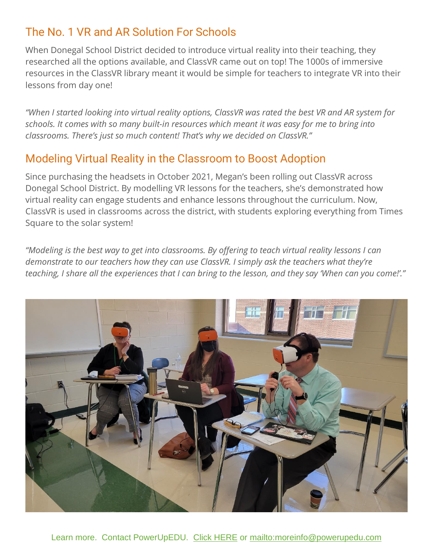# The No. 1 VR and AR Solution For Schools

When Donegal School District decided to introduce virtual reality into their teaching, they researched all the options available, and ClassVR came out on top! The 1000s of immersive resources in the ClassVR library meant it would be simple for teachers to integrate VR into their lessons from day one!

*"When I started looking into virtual reality options, ClassVR was rated the best VR and AR system for schools. It comes with so many built-in resources which meant it was easy for me to bring into classrooms. There's just so much content! That's why we decided on ClassVR."*

### Modeling Virtual Reality in the Classroom to Boost Adoption

Since purchasing the headsets in October 2021, Megan's been rolling out ClassVR across Donegal School District. By modelling VR lessons for the teachers, she's demonstrated how virtual reality can engage students and enhance lessons throughout the curriculum. Now, ClassVR is used in classrooms across the district, with students exploring everything from Times Square to the solar system!

*"Modeling is the best way to get into classrooms. By offering to teach virtual reality lessons I can demonstrate to our teachers how they can use ClassVR. I simply ask the teachers what they're teaching, I share all the experiences that I can bring to the lesson, and they say 'When can you come!'."*